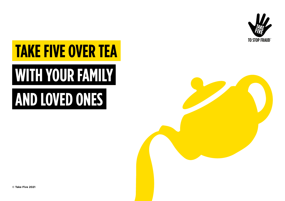

## **TAKE FIVE OVER TEA**

# **WITH YOUR FAMILY**

## **AND LOVED ONES**

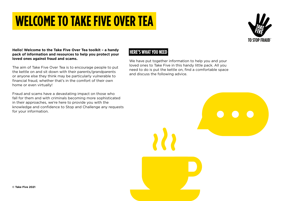### **WELCOME TO TAKE FIVE OVER TEA**

#### **Hello! Welcome to the Take Five Over Tea toolkit – a handy pack of information and resources to help you protect your loved ones against fraud and scams.**

The aim of Take Five Over Tea is to encourage people to put the kettle on and sit down with their parents/grandparents or anyone else they think may be particularly vulnerable to financial fraud, whether that's in the comfort of their own home or even virtually!

Fraud and scams have a devastating impact on those who fall for them and with criminals becoming more sophisticated in their approaches, we're here to provide you with the knowledge and confidence to Stop and Challenge any requests for your information.

#### **HERE'S WHAT YOU NEED**

We have put together information to help you and your loved ones to Take Five in this handy little pack. All you need to do is put the kettle on, find a comfortable space and discuss the following advice.

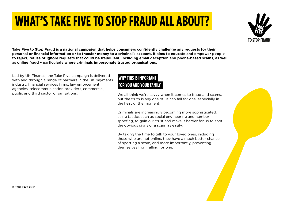## **WHAT'S TAKE FIVE TO STOP FRAUD ALL ABOUT?**



**Take Five to Stop Fraud is a national campaign that helps consumers confidently challenge any requests for their personal or financial information or to transfer money to a criminal's account. It aims to educate and empower people to reject, refuse or ignore requests that could be fraudulent, including email deception and phone-based scams, as well as online fraud – particularly where criminals impersonate trusted organisations.**

Led by UK Finance, the Take Five campaign is delivered<br>with and through a range of partners in the UK payments **WHY THIS IS IMPORTANT** with and through a range of partners in the UK payments industry, financial services firms, law enforcement agencies, telecommunication providers, commercial, public and third sector organisations.

### **FOR YOU AND YOUR FAMILY**

We all think we're savvy when it comes to fraud and scams, but the truth is any one of us can fall for one, especially in the heat of the moment.

Criminals are increasingly becoming more sophisticated, using tactics such as social engineering and number spoofing, to gain our trust and make it harder for us to spot the obvious signs of a scam as easily.

By taking the time to talk to your loved ones, including those who are not online, they have a much better chance of spotting a scam, and more importantly, preventing themselves from falling for one.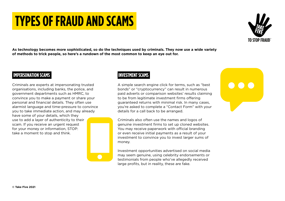### **TYPES OF FRAUD AND SCAMS**

**As technology becomes more sophisticated, so do the techniques used by criminals. They now use a wide variety of methods to trick people, so here's a rundown of the most common to keep an eye out for.**

#### **IMPERSONATION SCAMS**

Criminals are experts at impersonating trusted organisations, including banks, the police, and government departments such as HMRC, to convince you to make a payment or share your personal and financial details. They often use alarmist language and time-pressure to convince you to take immediate action, and may already have some of your details, which they use to add a layer of authenticity to their scam. If you receive an urgent request for your money or information, STOP: take a moment to stop and think.

#### **INVESTMENT SCAMS**

A simple search engine click for terms, such as "best bonds" or "cryptocurrency" can result in numerous paid adverts or comparison websites' results claiming to be from legitimate investment firms offering guaranteed returns with minimal risk. In many cases, you're asked to complete a "Contact Form" with your details for a call back to be arranged.

Criminals also often use the names and logos of genuine investment firms to set up cloned websites. You may receive paperwork with official branding or even receive initial payments as a result of your investment to convince you to invest larger sums of money.

Investment opportunities advertised on social media may seem genuine, using celebrity endorsements or testimonials from people who've allegedly received large profits, but in reality, these are fake.



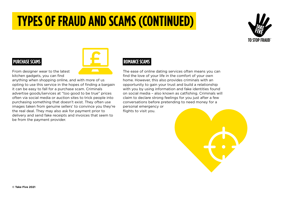### **TYPES OF FRAUD AND SCAMS (CONTINUED)**



#### **PURCHASE SCAMS**



From designer wear to the latest kitchen gadgets, you can find

anything when shopping online, and with more of us opting to use this service in the hopes of finding a bargain it can be easy to fall for a purchase scam. Criminals advertise goods/services at "too good to be true" prices often via social media or auction sites to trick people into purchasing something that doesn't exist. They often use images taken from genuine sellers' to convince you they're the real deal. They may also ask for payment prior to delivery and send fake receipts and invoices that seem to be from the payment provider.

#### **ROMANCE SCAMS**

The ease of online dating services often means you can find the love of your life in the comfort of your own home. However, this also provides criminals with an opportunity to gain your trust and build a relationship with you by using information and fake identities found on social media – also known as catfishing. Criminals will claim to declare strong feelings for you just after a few conversations before pretending to need money for a personal emergency or flights to visit you.

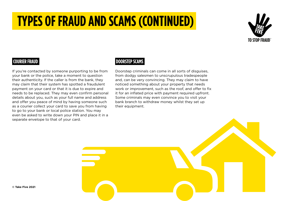### **TYPES OF FRAUD AND SCAMS (CONTINUED)**



#### **COURIER FRAUD**

If you're contacted by someone purporting to be from your bank or the police, take a moment to question their authenticity. If the caller is from the bank, they may claim that their system has spotted a fraudulent payment on your card or that it is due to expire and needs to be replaced. They may even confirm personal details about you, such as your full name and address and offer you peace of mind by having someone such as a courier collect your card to save you from having to go to your bank or local police station. You may even be asked to write down your PIN and place it in a separate envelope to that of your card.

#### **DOORSTEP SCAMS**

Doorstep criminals can come in all sorts of disguises, from dodgy salesmen to unscrupulous tradespeople and, can be very convincing. They may claim to have noticed something about your property that needs work or improvement, such as the roof, and offer to fix it for an inflated price with payment required upfront. Some criminals may even convince you to visit your bank branch to withdraw money whilst they set up their equipment.

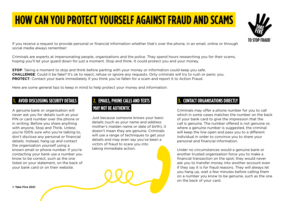### **HOW CAN YOU PROTECT YOURSELF AGAINST FRAUD AND SCAMS**



If you receive a request to provide personal or financial information whether that's over the phone, in an email, online or through social media always remember:

Criminals are experts at impersonating people, organisations and the police. They spend hours researching you for their scams, hoping you'll let your guard down for just a moment. Stop and think. It could protect you and your money.

**STOP**: Taking a moment to stop and think before parting with your money or information could keep you safe. **CHALLENGE**: Could it be fake? It's ok to reject, refuse or ignore any requests. Only criminals will try to rush or panic you. **PROTECT:** Contact your bank immediately if you think you've fallen for a scam and report it to Action Fraud.

Here are some general tips to keep in mind to help protect your money and information:

#### **1. AVOID DISCLOSIING SECURITY DETAILS**

A genuine bank or organisation will never ask you for details such as your PIN or card number over the phone or in writing. Before you share anything with anyone, Stop and Think. Unless you're 100% sure who you're talking to, don't disclose any personal or financial details. Instead, hang up and contact the organisation yourself using a known email or phone number. If you're contacting your bank use a number you know to be correct, such as the one listed on your statement, on the back of your bank card or on their website.

### **2. EMAILS, PHONE CALLS AND TEXTS MAY NOT BE AUTHENTIC**

Just because someone knows your basic details (such as your name and address mother's maiden name or date of birth), it doesn't mean they are genuine. Criminals will use a range of techniques to get your details and may even say you've been a victim of fraud to scare you into taking immediate action.

#### **EMAILS AND TEXTS CONTACT ORGANISATIONS DIRECTLY**

Criminals may offer a phone number for you to call which in some cases matches the number on the back of your bank card to give the impression that the call is genuine. The number offered is not genuine or, where a genuine number is suggested, the criminal will keep the line open and pass you to a different individual in order to convince you to share your personal and financial information.

Under no circumstances would a genuine bank or another trusted organisation force you to make a financial transaction on the spot; they would never ask you to transfer money into another account even if they say it is for fraud reasons. They will always let you hang up, wait a few minutes before calling them on a number you know to be genuine, such as the one on the back of your card.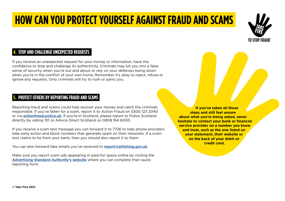### **HOW CAN YOU PROTECT YOURSELF AGAINST FRAUD AND SCAMS**

#### **4. STOP AND CHALLENGE UNEXPECTED REQUESTS**

If you receive an unexpected request for your money or information, have the confidence to stop and challenge its authenticity. Criminals may lull you into a false sense of security when you're out and about or rely on your defenses being down when you're in the comfort of your own home. Remember it's okay to reject, refuse or ignore any requests. Only criminals will try to rush or panic you.

#### **5. PROTECT OTHERS BY REPORTING FRAUD AND SCAMS**

Reporting fraud and scams could help recover your money and catch the criminals responsible. If you've fallen for a scam, report it to Action Fraud on 0300 123 2040 or via **[actionfraud.police.uk](http://actionfraud.police.uk)**. If you're in Scotland, please report to Police Scotland directly by calling 101 or Advice Direct Scotland on 0808 164 6000.

If you receive a scam text message you can forward it to 7726 to help phone providers take early action and block numbers that generate spam on their networks. If a scam text claims to be from your bank, then you should also report it to them.

You can also forward fake emails you've received to **[report@phishing.gov.uk](http://report@phishing.gov.uk)**.

Make sure you report scam ads appearing in paid-for space online by visiting the **[Advertising Standard Authority's website](https://www.asa.org.uk/make-a-complaint/report-an-online-scam-ad.html)** where you can complete their quick reporting form.

**If you've taken all these steps and still feel unsure about what you're being asked, never hesitate to contact your bank or financial service provider on a number you know and trust, such as the one listed on your statement, their website or on the back of your debit or credit card.**

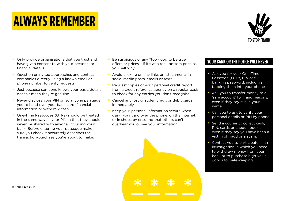### **ALWAYS REMEMBER**

- have given consent to with your personal or financial details.
- Question uninvited approaches and contact companies directly using a known email or phone number to verify requests.
- Just because someone knows your basic details doesn't mean they're genuine.
- Never disclose your PIN or let anyone persuade you to hand over your bank card, financial information or withdraw cash.
- One-Time Passcodes (OTPs) should be treated in the same way as your PIN in that they should never be shared with anyone, including your bank. Before entering your passcode make sure you check it accurately describes the transaction/purchase you're about to make.
- Only provide organisations that you trust and **•** Be suspicious of any "too good to be true" **YOUR BANK OR THE POLICE WILL NEVER:** • Be suspicious of any "too good to be true" offers or prices – if it's at a rock bottom price ask yourself why.
	- Avoid clicking on any links or attachments in social media posts, emails or texts.
	- Request copies of your personal credit report from a credit reference agency on a regular basis to check for any entries you don't recognise.
	- Cancel any lost or stolen credit or debit cards immediately.
	- Keep your personal information secure when using your card over the phone, on the internet, or in shops by ensuring that others can't overhear you or see your information.

- Ask you for your One-Time Passcode (OTP), PIN or full banking password, including tapping them into your phone.
- Ask you to transfer money to a 'safe account' for fraud reasons, even if they say it is in your name.
- Call you to ask to verify your personal details or PIN by phone.
- Send a courier to collect cash. PIN, cards or cheque books, even if they say you have been a victim of fraud or a scam.
- Contact you to participate in an investigation in which you need to withdraw money from your bank or to purchase high-value goods for safe-keeping.



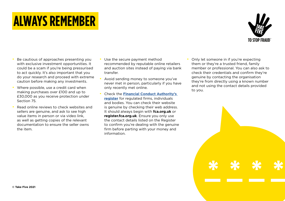### **ALWAYS REMEMBER**

- Be cautious of approaches presenting you with exclusive investment opportunities. It could be a scam if you're being pressurised to act quickly. It's also important that you do your research and proceed with extreme caution before making any investments.
- Where possible, use a credit card when making purchases over £100 and up to £30,000 as you receive protection under Section 75.
- Read online reviews to check websites and sellers are genuine, and ask to see high value items in person or via video link, as well as getting copies of the relevant documentation to ensure the seller owns the item.
- Use the secure payment method recommended by reputable online retailers and auction sites instead of paying via bank transfer.
- Avoid sending money to someone you've never met in person, particularly if you have only recently met online.
- Check the **[Financial Conduct Authority's](https://register.fca.org.uk/s/)  [register](https://register.fca.org.uk/s/)** for regulated firms, individuals and bodies. You can check their website is genuine by checking their web address. It should always begin with **fca.org.uk** or **register.fca.org.uk**. Ensure you only use the contact details listed on the Register to confirm you're dealing with the genuine firm before parting with your money and information.
- Only let someone in if you're expecting them or they're a trusted friend, family member or professional. You can also ask to check their credentials and confirm they're genuine by contacting the organisation they're from directly using a known number and not using the contact details provided to you.